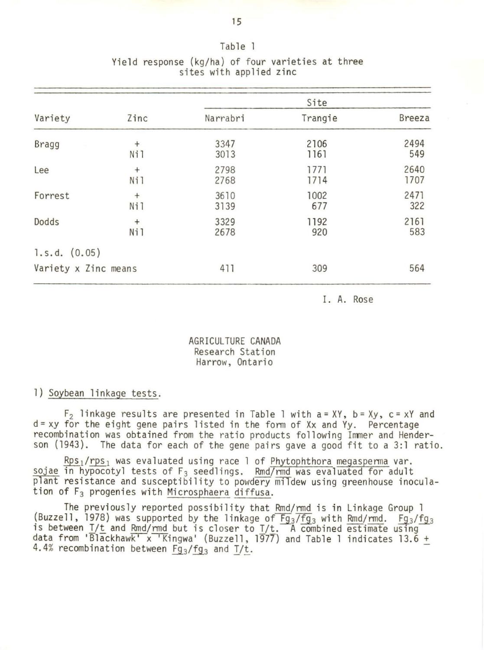| Variety              |        | Site     |         |               |  |  |  |
|----------------------|--------|----------|---------|---------------|--|--|--|
|                      | Zinc   | Narrabri | Trangie | <b>Breeza</b> |  |  |  |
| Bragg                | $^{+}$ | 3347     | 2106    | 2494          |  |  |  |
|                      | Ni1    | 3013     | 1161    | 549           |  |  |  |
| Lee                  | $^{+}$ | 2798     | 1771    | 2640          |  |  |  |
|                      | Ni1    | 2768     | 1714    | 1707          |  |  |  |
| Forrest              | $^{+}$ | 3610     | 1002    | 2471          |  |  |  |
|                      | Ni1    | 3139     | 677     | 322           |  |  |  |
| Dodds                | $^{+}$ | 3329     | 1192    | 2161          |  |  |  |
|                      | Ni1    | 2678     | 920     | 583           |  |  |  |
| 1.s.d. (0.05)        |        |          |         |               |  |  |  |
| Variety x Zinc means |        | 411      | 309     | 564           |  |  |  |

# Yield response {kg/ha) of four varieties at three sites with applied zinc

Table

I. A. Rose

AGRICULTURE CANADA Research Station Harrow, Ontario

#### 1) Soybean linkage tests.

 $F_2$  linkage results are presented in Table 1 with a = XY, b = Xy, c = xY and d= xy for the eight gene pairs listed in the fonn of Xx and Yy. Percentage recombination was obtained from the ratio products following Immer and Henderson (1943). The data for each of the gene pairs gave a good fit to a 3:1 ratio.

 $\frac{Rps_1/rps_1}{s}$  was evaluated using race 1 of Phytophthora megasperma var. sojae in hypocotyl tests of F<sub>3</sub> seedlings. Rmd/rmd was evaluated for adult plant resistance and susceptibility to powdery mildew using greenhouse inoculation of F3 progenies with Microsphaera diffusa.

The previously reported possibility that Rmd/rmd is in Linkage Group 1 (Buzzell, 1978) was supported by the linkage of  $Fg_3/Fg_3$  with Rmd/rmd.  $Fg_3/fg_3$ is between  $I/t$  and Rmd/rmd but is closer to  $I/t$ . A combined estimate using data from 'Blackhawk' x 'Kingwa' (Buzzell, 1977) and Table 1 indicates 13.6 + 4.4% recombination between  $Fg_3/fg_3$  and  $T/t$ .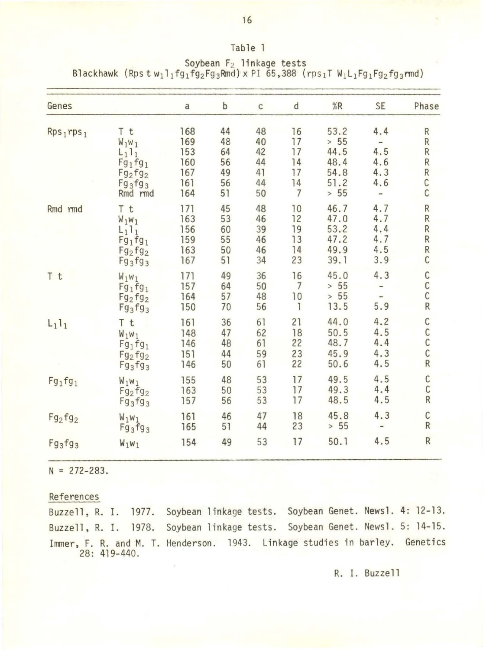| Genes              |                                                                                            | $\overline{a}$                                | b                                      | $\mathsf C$                            | ${\sf d}$                                          | %R                                                   | <b>SE</b>                                                       | Phase                                                                       |
|--------------------|--------------------------------------------------------------------------------------------|-----------------------------------------------|----------------------------------------|----------------------------------------|----------------------------------------------------|------------------------------------------------------|-----------------------------------------------------------------|-----------------------------------------------------------------------------|
| $Rps_1rps_1$       | T t<br>$W_1W_1$<br>$L_1$ <sub>1</sub><br>$Fg_1fg_1$<br>$Fg_2fg_2$<br>$Fg_3fg_3$<br>Rmd rmd | 168<br>169<br>153<br>160<br>167<br>161<br>164 | 44<br>48<br>64<br>56<br>49<br>56<br>51 | 48<br>40<br>42<br>44<br>41<br>44<br>50 | 16<br>17<br>17<br>14<br>17<br>14<br>$\overline{7}$ | 53.2<br>> 55<br>44.5<br>48.4<br>54.8<br>51.2<br>> 55 | 4.4<br>$\qquad \qquad \blacksquare$<br>4.5<br>4.6<br>4.3<br>4.6 | $\mathsf{R}$<br>$\mathsf{R}$<br>$\sf R$<br>$\overline{R}$<br>${\sf R}$<br>C |
| Rmd rmd            | T t<br>$W_1W_1$<br>$L_1$ <sub>1</sub><br>$Fg_1fg_1$<br>$Fg_2fg_2$<br>$Fg_3fg_3$            | 171<br>163<br>156<br>159<br>163<br>167        | 45<br>53<br>60<br>55<br>50<br>51       | 48<br>46<br>39<br>46<br>46<br>34       | 10<br>12<br>19<br>13<br>14<br>23                   | 46.7<br>47.0<br>53.2<br>47.2<br>49.9<br>39.1         | 4.7<br>4.7<br>4.4<br>4.7<br>4.5<br>3.9                          | $R R R$<br>$R$ <sub>C</sub>                                                 |
| T t                | $W_1W_1$<br>$Fg_1fg_1$<br>$Fg_2fg_2$<br>$Fg_3fg_3$                                         | 171<br>157<br>164<br>150                      | 49<br>64<br>57<br>70                   | 36<br>50<br>48<br>56                   | 16<br>$\overline{7}$<br>10<br>$\mathbf{1}$         | 45.0<br>> 55<br>> 55<br>13.5                         | 4.3<br>5.9                                                      | $\frac{1}{2}$                                                               |
| $L_1$ <sub>1</sub> | T t<br>$W_1W_1$<br>$Fg_1fg_1$<br>$Fg_2fg_2$<br>$Fg_3fg_3$                                  | 161<br>148<br>146<br>151<br>146               | 36<br>47<br>48<br>44<br>50             | 61<br>62<br>61<br>59<br>61             | 21<br>18<br>22<br>23<br>22                         | 44.0<br>50.5<br>48.7<br>45.9<br>50.6                 | 4.2<br>4.5<br>4.4<br>4.3<br>4.5                                 | $R$<br>$C$<br>$C$<br>$C$                                                    |
| $Fg_1fg_1$         | $W_1W_1$<br>$Fg_2fg_2$<br>$Fg_3fg_3$                                                       | 155<br>163<br>157                             | 48<br>50<br>56                         | 53<br>53<br>53                         | 17<br>17<br>17                                     | 49.5<br>49.3<br>48.5                                 | 4.5<br>4.4<br>4.5                                               | $\frac{C}{R}$                                                               |
| $Fg_2fg_2$         | $W_1W_1$<br>$Fg_3fg_3$                                                                     | 161<br>165                                    | 46<br>51                               | 47<br>44                               | 18<br>23                                           | 45.8<br>> 55                                         | 4.3<br>$\overline{\phantom{0}}$                                 | $\frac{C}{R}$                                                               |
| $Fg_3fg_3$         | $W_1W_1$                                                                                   | 154                                           | 49                                     | 53                                     | 17                                                 | 50.1                                                 | 4.5                                                             | $\overline{\mathsf{R}}$                                                     |

Blackhawk (Rps t  $w_1$ l<sub>1</sub>fg<sub>1</sub>fg<sub>2</sub>Fg<sub>3</sub>Rmd) x PI 65,388 (rps<sub>1</sub>T  $W_1$ L<sub>1</sub>Fg<sub>1</sub>Fg<sub>2</sub>fg<sub>3</sub>rmd) Soybean F<sub>2</sub> linkage tests

Table 1

 $N = 272 - 283$ .

References

Buzzell, R. I. 1977. Soybean linkage tests. Soybean Genet. Newsl. 4: 12-13. Buzzell, R. I. 1978. Soybean linkage tests. Soybean Genet. Newsl. 5: 14-15. Immer, F. R. and M. T. Henderson. 1943. Linkage studies in barley. Genetics 28: 419-440 .

16

R. I. Buzzell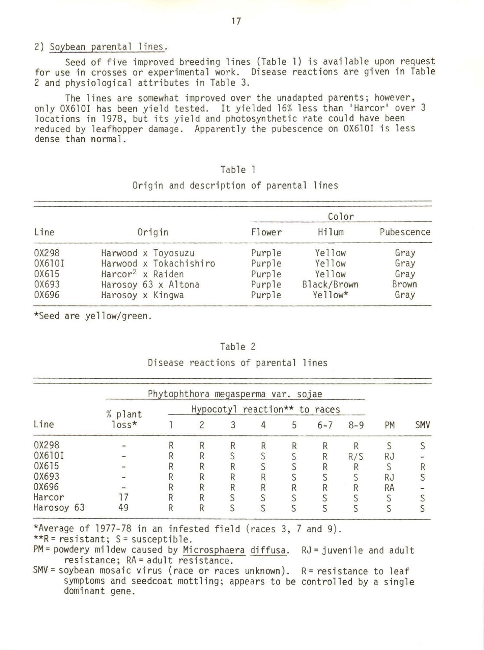#### 2) Soybean parental lines.

Seed of five improved breeding lines (Table l) is available upon request for use in crosses or experimental work. Disease reactions are given in Table 2 and physiological attributes in Table 3.

The lines are somewhat improved over the unadapted parents; however, only OX610I has been yield tested. It yielded 16% less than 'Harcar' over 3 locations in 1978, but its yield and photosynthetic rate could have been reduced by leafhopper damage. Apparently the pubescence on OX610I is less dense than normal.

# Table

| Line   |                              | Color  |             |            |  |  |
|--------|------------------------------|--------|-------------|------------|--|--|
|        | Origin                       | Flower | Hilum       | Pubescence |  |  |
| 0X298  | Harwood x Toyosuzu           | Purple | Yellow      | Gray       |  |  |
| 0X610I | Harwood x Tokachishiro       | Purple | Yellow      | Gray       |  |  |
| 0X615  | Harcor <sup>2</sup> x Raiden | Purple | Yellow      | Gray       |  |  |
| 0X693  | Harosoy 63 x Altona          | Purple | Black/Brown | Brown      |  |  |
| 0X696  | Harosoy x Kingwa             | Purple | Yellow*     | Gray       |  |  |

## Origin and description of parental lines

\*Seed are yellow/green.

#### Table 2

Disease reactions of parental lines

| Line       | Phytophthora megasperma var. sojae |                               |  |  |  |   |         |         |           |            |
|------------|------------------------------------|-------------------------------|--|--|--|---|---------|---------|-----------|------------|
|            | % plant<br>$loss*$                 | Hypocotyl reaction** to races |  |  |  |   |         |         |           |            |
|            |                                    |                               |  |  |  | 5 | $6 - 7$ | $8 - 9$ | PM        | <b>SMV</b> |
| 0X298      |                                    |                               |  |  |  |   |         |         |           |            |
| 0X610I     |                                    |                               |  |  |  |   |         | R/S     | <b>RJ</b> |            |
| 0X615      |                                    |                               |  |  |  |   |         |         |           |            |
| 0X693      |                                    |                               |  |  |  |   |         |         | <b>RJ</b> |            |
| 0X696      |                                    |                               |  |  |  |   |         |         | <b>RA</b> |            |
| Harcor     |                                    |                               |  |  |  |   |         |         |           |            |
| Harosoy 63 | 49                                 |                               |  |  |  |   |         |         |           |            |

\*Average of 1977-78 in an infested field (races 3, 7 and 9).  $***R =$  resistant; S = susceptible.

PM= powdery mildew caused by <u>Microsphaera</u> diffusa. RJ= juvenile and adult resistance; RA = adult resistance.

SMV = soybean mosaic virus (race or races unknown).  $R =$  resistance to leaf symptoms and seedcoat mottling; appears to be controlled by a single dominant gene.